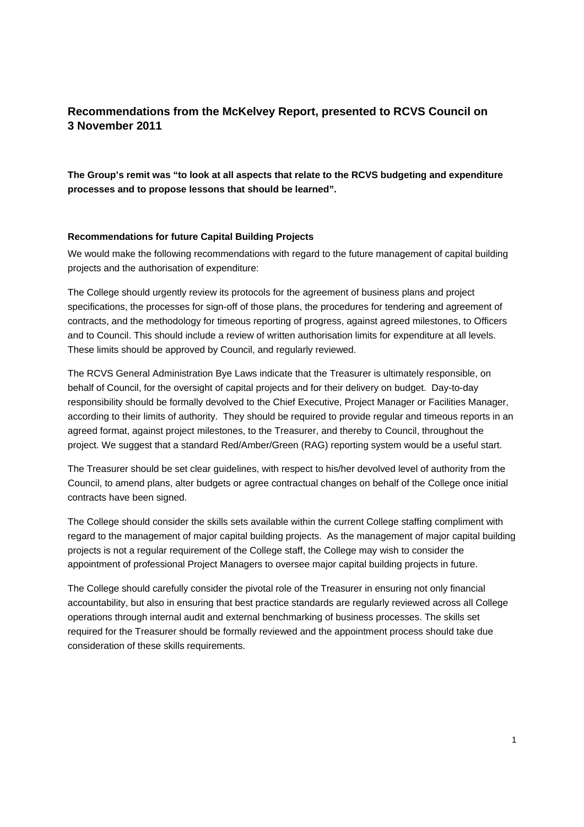# **Recommendations from the McKelvey Report, presented to RCVS Council on 3 November 2011**

**The Group's remit was "to look at all aspects that relate to the RCVS budgeting and expenditure processes and to propose lessons that should be learned".** 

# **Recommendations for future Capital Building Projects**

We would make the following recommendations with regard to the future management of capital building projects and the authorisation of expenditure:

The College should urgently review its protocols for the agreement of business plans and project specifications, the processes for sign-off of those plans, the procedures for tendering and agreement of contracts, and the methodology for timeous reporting of progress, against agreed milestones, to Officers and to Council. This should include a review of written authorisation limits for expenditure at all levels. These limits should be approved by Council, and regularly reviewed.

The RCVS General Administration Bye Laws indicate that the Treasurer is ultimately responsible, on behalf of Council, for the oversight of capital projects and for their delivery on budget. Day-to-day responsibility should be formally devolved to the Chief Executive, Project Manager or Facilities Manager, according to their limits of authority. They should be required to provide regular and timeous reports in an agreed format, against project milestones, to the Treasurer, and thereby to Council, throughout the project. We suggest that a standard Red/Amber/Green (RAG) reporting system would be a useful start.

The Treasurer should be set clear guidelines, with respect to his/her devolved level of authority from the Council, to amend plans, alter budgets or agree contractual changes on behalf of the College once initial contracts have been signed.

The College should consider the skills sets available within the current College staffing compliment with regard to the management of major capital building projects. As the management of major capital building projects is not a regular requirement of the College staff, the College may wish to consider the appointment of professional Project Managers to oversee major capital building projects in future.

The College should carefully consider the pivotal role of the Treasurer in ensuring not only financial accountability, but also in ensuring that best practice standards are regularly reviewed across all College operations through internal audit and external benchmarking of business processes. The skills set required for the Treasurer should be formally reviewed and the appointment process should take due consideration of these skills requirements.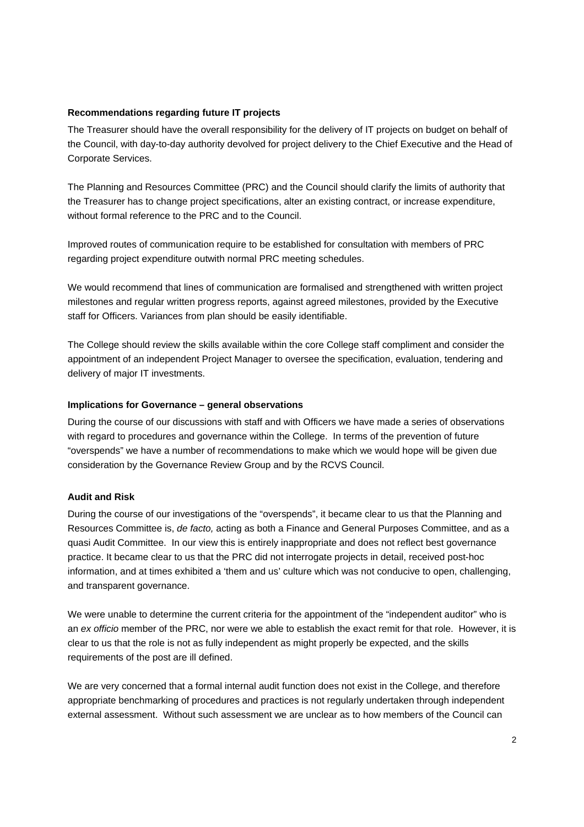# **Recommendations regarding future IT projects**

The Treasurer should have the overall responsibility for the delivery of IT projects on budget on behalf of the Council, with day-to-day authority devolved for project delivery to the Chief Executive and the Head of Corporate Services.

The Planning and Resources Committee (PRC) and the Council should clarify the limits of authority that the Treasurer has to change project specifications, alter an existing contract, or increase expenditure, without formal reference to the PRC and to the Council.

Improved routes of communication require to be established for consultation with members of PRC regarding project expenditure outwith normal PRC meeting schedules.

We would recommend that lines of communication are formalised and strengthened with written project milestones and regular written progress reports, against agreed milestones, provided by the Executive staff for Officers. Variances from plan should be easily identifiable.

The College should review the skills available within the core College staff compliment and consider the appointment of an independent Project Manager to oversee the specification, evaluation, tendering and delivery of major IT investments.

#### **Implications for Governance – general observations**

During the course of our discussions with staff and with Officers we have made a series of observations with regard to procedures and governance within the College. In terms of the prevention of future "overspends" we have a number of recommendations to make which we would hope will be given due consideration by the Governance Review Group and by the RCVS Council.

#### **Audit and Risk**

During the course of our investigations of the "overspends", it became clear to us that the Planning and Resources Committee is, de facto, acting as both a Finance and General Purposes Committee, and as a quasi Audit Committee. In our view this is entirely inappropriate and does not reflect best governance practice. It became clear to us that the PRC did not interrogate projects in detail, received post-hoc information, and at times exhibited a 'them and us' culture which was not conducive to open, challenging, and transparent governance.

We were unable to determine the current criteria for the appointment of the "independent auditor" who is an ex officio member of the PRC, nor were we able to establish the exact remit for that role. However, it is clear to us that the role is not as fully independent as might properly be expected, and the skills requirements of the post are ill defined.

We are very concerned that a formal internal audit function does not exist in the College, and therefore appropriate benchmarking of procedures and practices is not regularly undertaken through independent external assessment. Without such assessment we are unclear as to how members of the Council can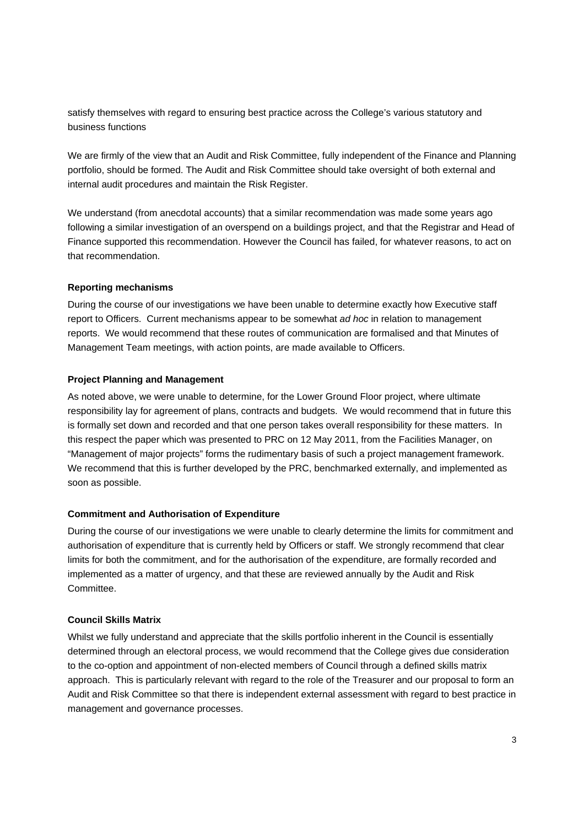satisfy themselves with regard to ensuring best practice across the College's various statutory and business functions

We are firmly of the view that an Audit and Risk Committee, fully independent of the Finance and Planning portfolio, should be formed. The Audit and Risk Committee should take oversight of both external and internal audit procedures and maintain the Risk Register.

We understand (from anecdotal accounts) that a similar recommendation was made some years ago following a similar investigation of an overspend on a buildings project, and that the Registrar and Head of Finance supported this recommendation. However the Council has failed, for whatever reasons, to act on that recommendation.

#### **Reporting mechanisms**

During the course of our investigations we have been unable to determine exactly how Executive staff report to Officers. Current mechanisms appear to be somewhat ad hoc in relation to management reports. We would recommend that these routes of communication are formalised and that Minutes of Management Team meetings, with action points, are made available to Officers.

#### **Project Planning and Management**

As noted above, we were unable to determine, for the Lower Ground Floor project, where ultimate responsibility lay for agreement of plans, contracts and budgets. We would recommend that in future this is formally set down and recorded and that one person takes overall responsibility for these matters. In this respect the paper which was presented to PRC on 12 May 2011, from the Facilities Manager, on "Management of major projects" forms the rudimentary basis of such a project management framework. We recommend that this is further developed by the PRC, benchmarked externally, and implemented as soon as possible.

#### **Commitment and Authorisation of Expenditure**

During the course of our investigations we were unable to clearly determine the limits for commitment and authorisation of expenditure that is currently held by Officers or staff. We strongly recommend that clear limits for both the commitment, and for the authorisation of the expenditure, are formally recorded and implemented as a matter of urgency, and that these are reviewed annually by the Audit and Risk Committee.

# **Council Skills Matrix**

Whilst we fully understand and appreciate that the skills portfolio inherent in the Council is essentially determined through an electoral process, we would recommend that the College gives due consideration to the co-option and appointment of non-elected members of Council through a defined skills matrix approach. This is particularly relevant with regard to the role of the Treasurer and our proposal to form an Audit and Risk Committee so that there is independent external assessment with regard to best practice in management and governance processes.